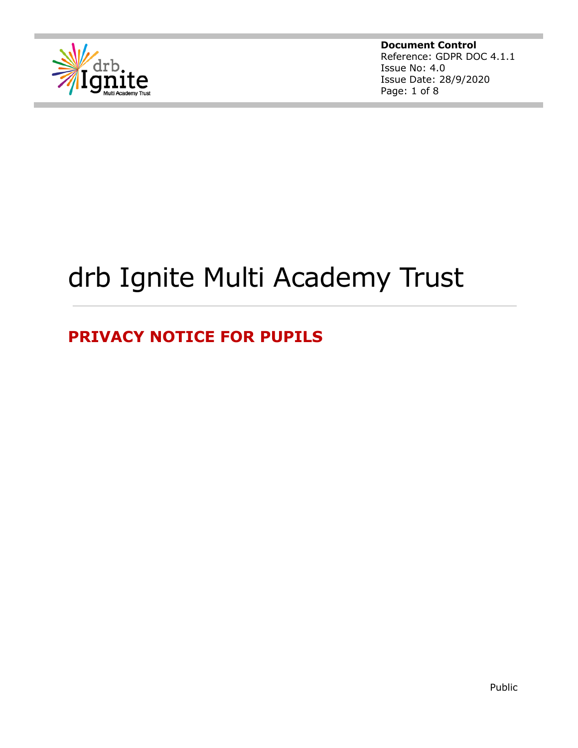

**Document Control** Reference: GDPR DOC 4.1.1 Issue No: 4.0 Issue Date: 28/9/2020 Page: 1 of 8

# drb Ignite Multi Academy Trust

# **PRIVACY NOTICE FOR PUPILS**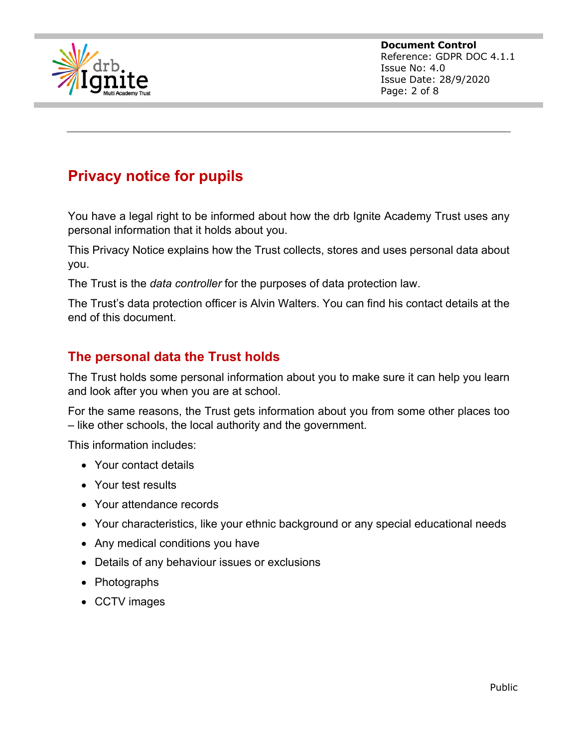

**Document Control** Reference: GDPR DOC 4.1.1 Issue No: 4.0 Issue Date: 28/9/2020 Page: 2 of 8

# **Privacy notice for pupils**

You have a legal right to be informed about how the drb Ignite Academy Trust uses any personal information that it holds about you.

This Privacy Notice explains how the Trust collects, stores and uses personal data about you.

The Trust is the *data controller* for the purposes of data protection law.

The Trust's data protection officer is Alvin Walters. You can find his contact details at the end of this document.

#### **The personal data the Trust holds**

The Trust holds some personal information about you to make sure it can help you learn and look after you when you are at school.

For the same reasons, the Trust gets information about you from some other places too – like other schools, the local authority and the government.

This information includes:

- Your contact details
- Your test results
- Your attendance records
- Your characteristics, like your ethnic background or any special educational needs
- Any medical conditions you have
- Details of any behaviour issues or exclusions
- Photographs
- CCTV images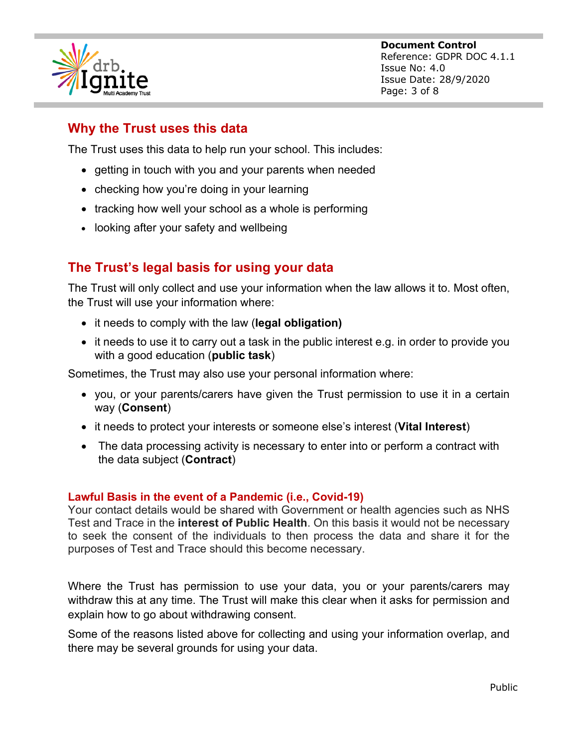

**Document Control** Reference: GDPR DOC 4.1.1 Issue No: 4.0 Issue Date: 28/9/2020 Page: 3 of 8

## **Why the Trust uses this data**

The Trust uses this data to help run your school. This includes:

- getting in touch with you and your parents when needed
- checking how you're doing in your learning
- tracking how well your school as a whole is performing
- looking after your safety and wellbeing

### **The Trust's legal basis for using your data**

The Trust will only collect and use your information when the law allows it to. Most often, the Trust will use your information where:

- it needs to comply with the law (**legal obligation)**
- it needs to use it to carry out a task in the public interest e.g. in order to provide you with a good education (**public task**)

Sometimes, the Trust may also use your personal information where:

- you, or your parents/carers have given the Trust permission to use it in a certain way (**Consent**)
- it needs to protect your interests or someone else's interest (**Vital Interest**)
- The data processing activity is necessary to enter into or perform a contract with the data subject (**Contract**)

#### **Lawful Basis in the event of a Pandemic (i.e., Covid-19)**

Your contact details would be shared with Government or health agencies such as NHS Test and Trace in the **interest of Public Health**. On this basis it would not be necessary to seek the consent of the individuals to then process the data and share it for the purposes of Test and Trace should this become necessary.

Where the Trust has permission to use your data, you or your parents/carers may withdraw this at any time. The Trust will make this clear when it asks for permission and explain how to go about withdrawing consent.

Some of the reasons listed above for collecting and using your information overlap, and there may be several grounds for using your data.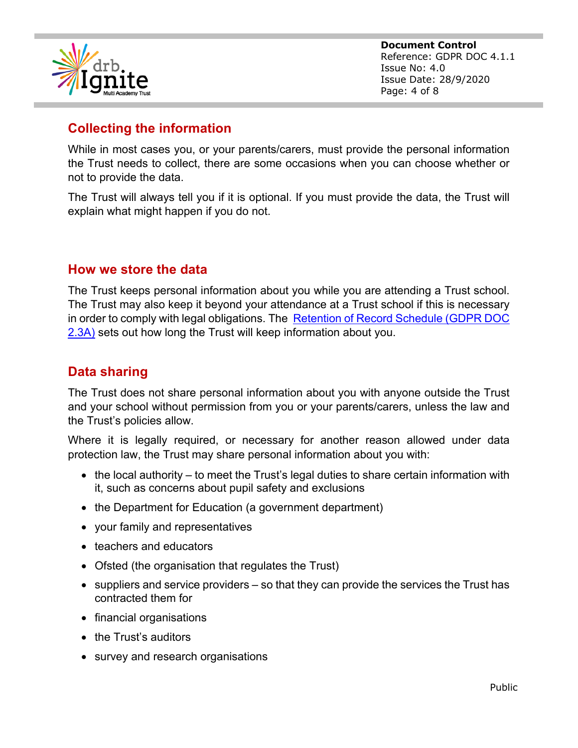

**Document Control** Reference: GDPR DOC 4.1.1 Issue No: 4.0 Issue Date: 28/9/2020 Page: 4 of 8

## **Collecting the information**

While in most cases you, or your parents/carers, must provide the personal information the Trust needs to collect, there are some occasions when you can choose whether or not to provide the data.

The Trust will always tell you if it is optional. If you must provide the data, the Trust will explain what might happen if you do not.

#### **How we store the data**

The Trust keeps personal information about you while you are attending a Trust school. The Trust may also keep it beyond your attendance at a Trust school if this is necessary in order to comply with legal obligations. The Retention of Record Schedule (GDPR DOC 2.3A) sets out how long the Trust will keep information about you.

### **Data sharing**

The Trust does not share personal information about you with anyone outside the Trust and your school without permission from you or your parents/carers, unless the law and the Trust's policies allow.

Where it is legally required, or necessary for another reason allowed under data protection law, the Trust may share personal information about you with:

- the local authority to meet the Trust's legal duties to share certain information with it, such as concerns about pupil safety and exclusions
- the Department for Education (a government department)
- your family and representatives
- teachers and educators
- Ofsted (the organisation that regulates the Trust)
- suppliers and service providers so that they can provide the services the Trust has contracted them for
- financial organisations
- the Trust's auditors
- survey and research organisations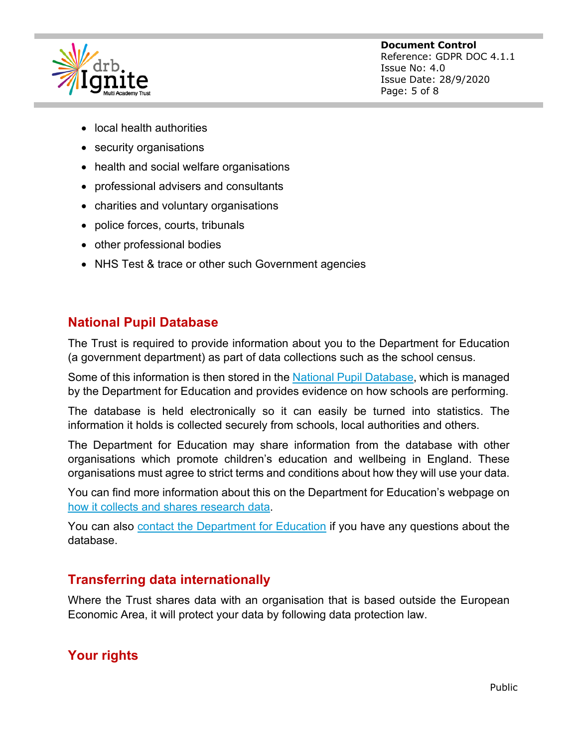

- local health authorities
- security organisations
- health and social welfare organisations
- professional advisers and consultants
- charities and voluntary organisations
- police forces, courts, tribunals
- other professional bodies
- NHS Test & trace or other such Government agencies

#### **National Pupil Database**

The Trust is required to provide information about you to the Department for Education (a government department) as part of data collections such as the school census.

Some of this information is then stored in the National Pupil Database, which is managed by the Department for Education and provides evidence on how schools are performing.

The database is held electronically so it can easily be turned into statistics. The information it holds is collected securely from schools, local authorities and others.

The Department for Education may share information from the database with other organisations which promote children's education and wellbeing in England. These organisations must agree to strict terms and conditions about how they will use your data.

You can find more information about this on the Department for Education's webpage on how it collects and shares research data.

You can also contact the Department for Education if you have any questions about the database.

#### **Transferring data internationally**

Where the Trust shares data with an organisation that is based outside the European Economic Area, it will protect your data by following data protection law.

#### **Your rights**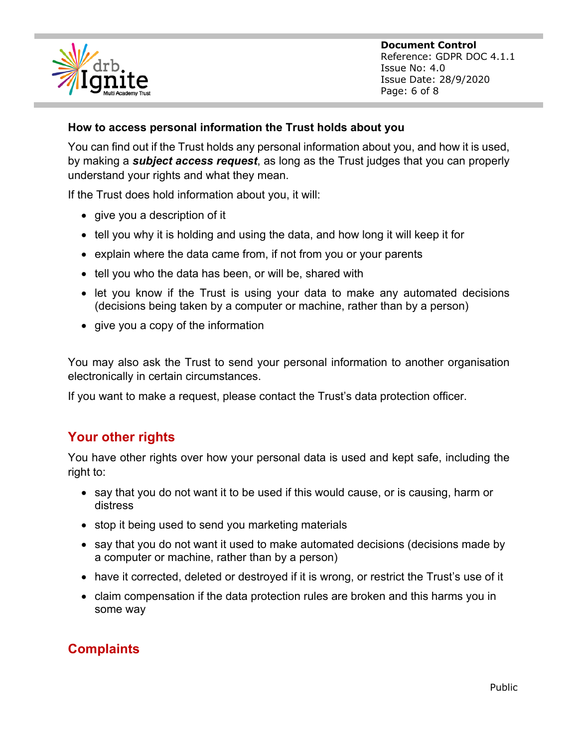

**Document Control** Reference: GDPR DOC 4.1.1 Issue No: 4.0 Issue Date: 28/9/2020 Page: 6 of 8

#### **How to access personal information the Trust holds about you**

You can find out if the Trust holds any personal information about you, and how it is used, by making a *subject access request*, as long as the Trust judges that you can properly understand your rights and what they mean.

If the Trust does hold information about you, it will:

- give you a description of it
- tell you why it is holding and using the data, and how long it will keep it for
- explain where the data came from, if not from you or your parents
- tell you who the data has been, or will be, shared with
- let you know if the Trust is using your data to make any automated decisions (decisions being taken by a computer or machine, rather than by a person)
- give you a copy of the information

You may also ask the Trust to send your personal information to another organisation electronically in certain circumstances.

If you want to make a request, please contact the Trust's data protection officer.

#### **Your other rights**

You have other rights over how your personal data is used and kept safe, including the right to:

- say that you do not want it to be used if this would cause, or is causing, harm or distress
- stop it being used to send you marketing materials
- say that you do not want it used to make automated decisions (decisions made by a computer or machine, rather than by a person)
- have it corrected, deleted or destroyed if it is wrong, or restrict the Trust's use of it
- claim compensation if the data protection rules are broken and this harms you in some way

#### **Complaints**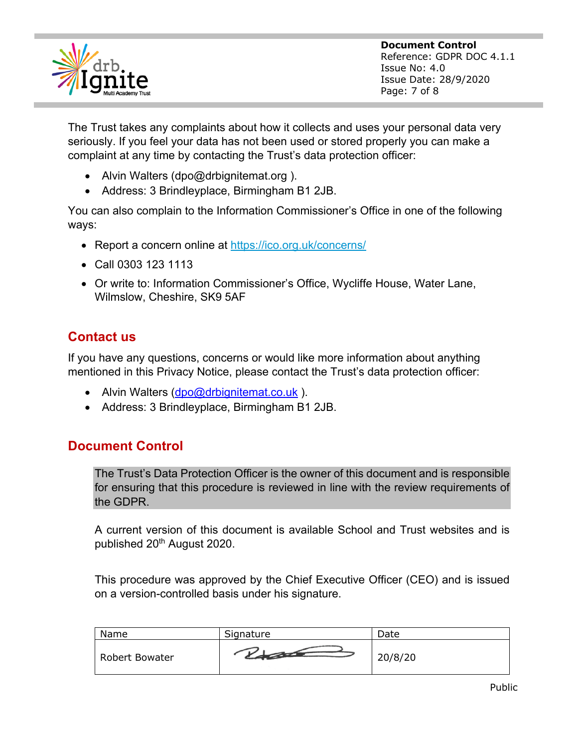

**Document Control** Reference: GDPR DOC 4.1.1 Issue No: 4.0 Issue Date: 28/9/2020 Page: 7 of 8

The Trust takes any complaints about how it collects and uses your personal data very seriously. If you feel your data has not been used or stored properly you can make a complaint at any time by contacting the Trust's data protection officer:

- Alvin Walters (dpo@drbignitemat.org).
- Address: 3 Brindleyplace, Birmingham B1 2JB.

You can also complain to the Information Commissioner's Office in one of the following ways:

- Report a concern online at https://ico.org.uk/concerns/
- Call 0303 123 1113
- Or write to: Information Commissioner's Office, Wycliffe House, Water Lane, Wilmslow, Cheshire, SK9 5AF

### **Contact us**

If you have any questions, concerns or would like more information about anything mentioned in this Privacy Notice, please contact the Trust's data protection officer:

- Alvin Walters (dpo@drbignitemat.co.uk).
- Address: 3 Brindleyplace, Birmingham B1 2JB.

#### **Document Control**

The Trust's Data Protection Officer is the owner of this document and is responsible for ensuring that this procedure is reviewed in line with the review requirements of the GDPR.

A current version of this document is available School and Trust websites and is published 20<sup>th</sup> August 2020.

This procedure was approved by the Chief Executive Officer (CEO) and is issued on a version-controlled basis under his signature.

| Name           | Signature | Date    |
|----------------|-----------|---------|
| Robert Bowater |           | 20/8/20 |